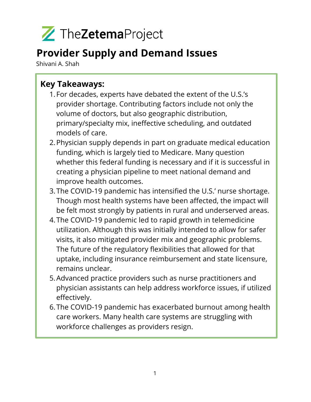

### **Provider Supply and Demand Issues**

Shivani A. Shah

### **Key Takeaways:**

- 1.For decades, experts have debated the extent of the U.S.'s provider shortage. Contributing factors include not only the volume of doctors, but also geographic distribution, primary/specialty mix, ineffective scheduling, and outdated models of care.
- 2.Physician supply depends in part on graduate medical education funding, which is largely tied to Medicare. Many question whether this federal funding is necessary and if it is successful in creating a physician pipeline to meet national demand and improve health outcomes.
- 3.The COVID-19 pandemic has intensified the U.S.' nurse shortage. Though most health systems have been affected, the impact will be felt most strongly by patients in rural and underserved areas.
- 4.The COVID-19 pandemic led to rapid growth in telemedicine utilization. Although this was initially intended to allow for safer visits, it also mitigated provider mix and geographic problems. The future of the regulatory flexibilities that allowed for that uptake, including insurance reimbursement and state licensure, remains unclear.
- 5.Advanced practice providers such as nurse practitioners and physician assistants can help address workforce issues, if utilized effectively.
- 6.The COVID-19 pandemic has exacerbated burnout among health care workers. Many health care systems are struggling with workforce challenges as providers resign.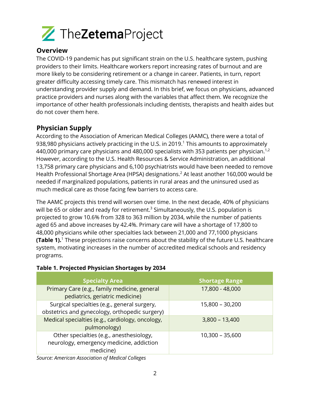

#### **Overview**

The COVID-19 pandemic has put significant strain on the U.S. healthcare system, pushing providers to their limits. Healthcare workers report increasing rates of burnout and are more likely to be considering retirement or a change in career. Patients, in turn, report greater difficulty accessing timely care. This mismatch has renewed interest in understanding provider supply and demand. In this brief, we focus on physicians, advanced practice providers and nurses along with the variables that affect them. We recognize the importance of other health professionals including dentists, therapists and health aides but do not cover them here.

#### **Physician Supply**

According to the Association of American Medical Colleges (AAMC), there were a total of 938,980 physicians actively practicing in the U.S. in 2019.<sup>1</sup> This amounts to approximately 440,000 primary care physicians and 480,000 specialists with 353 patients per physician.<sup>1,2</sup> However, according to the U.S. Health Resources & Service Administration, an additional 13,758 primary care physicians and 6,100 psychiatrists would have been needed to remove Health Professional Shortage Area (HPSA) designations.<sup>2</sup> At least another 160,000 would be needed if marginalized populations, patients in rural areas and the uninsured used as much medical care as those facing few barriers to access care.

The AAMC projects this trend will worsen over time. In the next decade, 40% of physicians will be 65 or older and ready for retirement.<sup>3</sup> Simultaneously, the U.S. population is projected to grow 10.6% from 328 to 363 million by 2034, while the number of patients aged 65 and above increases by 42.4%. Primary care will have a shortage of 17,800 to 48,000 physicians while other specialties lack between 21,000 and 77,1000 physicians **(Table 1).**<sup>1</sup> These projections raise concerns about the stability of the future U.S. healthcare system, motivating increases in the number of accredited medical schools and residency programs.

#### **Table 1. Projected Physician Shortages by 2034**

| <b>Specialty Area</b>                                                                             | <b>Shortage Range</b> |
|---------------------------------------------------------------------------------------------------|-----------------------|
| Primary Care (e.g., family medicine, general<br>pediatrics, geriatric medicine)                   | 17,800 - 48,000       |
| Surgical specialties (e.g., general surgery,<br>obstetrics and gynecology, orthopedic surgery)    | 15,800 - 30,200       |
| Medical specialties (e.g., cardiology, oncology,<br>pulmonology)                                  | $3,800 - 13,400$      |
| Other specialties (e.g., anesthesiology,<br>neurology, emergency medicine, addiction<br>medicine) | 10,300 - 35,600       |

*Source: American Association of Medical Colleges*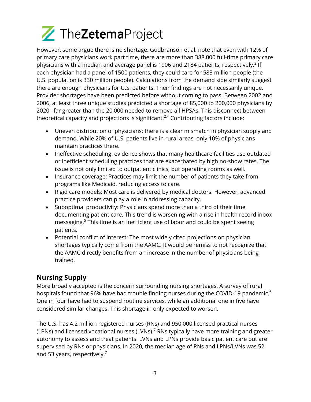# TheZetemaProject

However, some argue there is no shortage. Gudbranson et al. note that even with 12% of primary care physicians work part time, there are more than 388,000 full-time primary care physicians with a median and average panel is 1906 and 2184 patients, respectively.<sup>2</sup> If each physician had a panel of 1500 patients, they could care for 583 million people (the U.S. population is 330 million people). Calculations from the demand side similarly suggest there are enough physicians for U.S. patients. Their findings are not necessarily unique. Provider shortages have been predicted before without coming to pass. Between 2002 and 2006, at least three unique studies predicted a shortage of 85,000 to 200,000 physicians by 2020 –far greater than the 20,000 needed to remove all HPSAs. This disconnect between theoretical capacity and projections is significant. $2,4$  Contributing factors include:

- Uneven distribution of physicians: there is a clear mismatch in physician supply and demand. While 20% of U.S. patients live in rural areas, only 10% of physicians maintain practices there.
- Ineffective scheduling: evidence shows that many healthcare facilities use outdated or inefficient scheduling practices that are exacerbated by high no-show rates. The issue is not only limited to outpatient clinics, but operating rooms as well.
- Insurance coverage: Practices may limit the number of patients they take from programs like Medicaid, reducing access to care.
- Rigid care models: Most care is delivered by medical doctors. However, advanced practice providers can play a role in addressing capacity.
- Suboptimal productivity: Physicians spend more than a third of their time documenting patient care. This trend is worsening with a rise in health record inbox messaging.<sup>5</sup> This time is an inefficient use of labor and could be spent seeing patients.
- Potential conflict of interest: The most widely cited projections on physician shortages typically come from the AAMC. It would be remiss to not recognize that the AAMC directly benefits from an increase in the number of physicians being trained.

#### **Nursing Supply**

More broadly accepted is the concern surrounding nursing shortages. A survey of rural hospitals found that 96% have had trouble finding nurses during the COVID-19 pandemic.<sup>6</sup> One in four have had to suspend routine services, while an additional one in five have considered similar changes. This shortage in only expected to worsen.

The U.S. has 4.2 million registered nurses (RNs) and 950,000 licensed practical nurses (LPNs) and licensed vocational nurses (LVNs).<sup>7</sup> RNs typically have more training and greater autonomy to assess and treat patients. LVNs and LPNs provide basic patient care but are supervised by RNs or physicians. In 2020, the median age of RNs and LPNs/LVNs was 52 and 53 years, respectively.<sup>7</sup>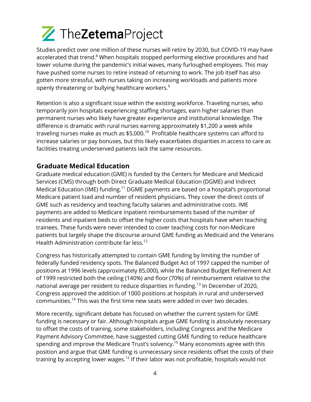

Studies predict over one million of these nurses will retire by 2030, but COVID-19 may have accelerated that trend.<sup>8</sup> When hospitals stopped performing elective procedures and had lower volume during the pandemic's initial waves, many furloughed employees. This may have pushed some nurses to retire instead of returning to work. The job itself has also gotten more stressful, with nurses taking on increasing workloads and patients more openly threatening or bullying healthcare workers. 9

Retention is also a significant issue within the existing workforce. Traveling nurses, who temporarily join hospitals experiencing staffing shortages, earn higher salaries than permanent nurses who likely have greater experience and institutional knowledge. The difference is dramatic with rural nurses earning approximately \$1,200 a week while traveling nurses make as much as  $$5,000$ .<sup>10</sup> Profitable healthcare systems can afford to increase salaries or pay bonuses, but this likely exacerbates disparities in access to care as facilities treating underserved patients lack the same resources.

#### **Graduate Medical Education**

Graduate medical education (GME) is funded by the Centers for Medicare and Medicaid Services (CMS) through both Direct Graduate Medical Education (DGME) and Indirect Medical Education (IME) funding.<sup>11</sup> DGME payments are based on a hospital's proportional Medicare patient load and number of resident physicians. They cover the direct costs of GME such as residency and teaching faculty salaries and administrative costs. IME payments are added to Medicare inpatient reimbursements based of the number of residents and inpatient beds to offset the higher costs that hospitals have when teaching trainees. These funds were never intended to cover teaching costs for non-Medicare patients but largely shape the discourse around GME funding as Medicaid and the Veterans Health Administration contribute far less. 12

Congress has historically attempted to contain GME funding by limiting the number of federally funded residency spots. The Balanced Budget Act of 1997 capped the number of positions at 1996 levels (approximately 85,000), while the Balanced Budget Refinement Act of 1999 restricted both the ceiling (140%) and floor (70%) of reimbursement relative to the national average per resident to reduce disparities in funding.<sup>13</sup> In December of 2020, Congress approved the addition of 1000 positions at hospitals in rural and underserved communities.<sup>14</sup> This was the first time new seats were added in over two decades.

More recently, significant debate has focused on whether the current system for GME funding is necessary or fair. Although hospitals argue GME funding is absolutely necessary to offset the costs of training, some stakeholders, including Congress and the Medicare Payment Advisory Committee, have suggested cutting GME funding to reduce healthcare spending and improve the Medicare Trust's solvency.<sup>15</sup> Many economists agree with this position and argue that GME funding is unnecessary since residents offset the costs of their training by accepting lower wages.<sup>12</sup> If their labor was not profitable, hospitals would not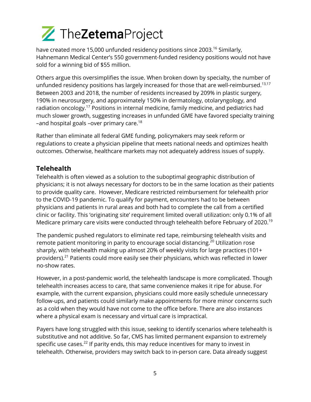## TheZetemaProject

have created more 15,000 unfunded residency positions since 2003.<sup>16</sup> Similarly, Hahnemann Medical Center's 550 government-funded residency positions would not have sold for a winning bid of \$55 million.

Others argue this oversimplifies the issue. When broken down by specialty, the number of unfunded residency positions has largely increased for those that are well-reimbursed.<sup>13,17</sup> Between 2003 and 2018, the number of residents increased by 209% in plastic surgery, 190% in neurosurgery, and approximately 150% in dermatology, otolaryngology, and radiation oncology.<sup>17</sup> Positions in internal medicine, family medicine, and pediatrics had much slower growth, suggesting increases in unfunded GME have favored specialty training –and hospital goals –over primary care.<sup>18</sup>

Rather than eliminate all federal GME funding, policymakers may seek reform or regulations to create a physician pipeline that meets national needs and optimizes health outcomes. Otherwise, healthcare markets may not adequately address issues of supply.

#### **Telehealth**

Telehealth is often viewed as a solution to the suboptimal geographic distribution of physicians; it is not always necessary for doctors to be in the same location as their patients to provide quality care. However, Medicare restricted reimbursement for telehealth prior to the COVID-19 pandemic. To qualify for payment, encounters had to be between physicians and patients in rural areas and both had to complete the call from a certified clinic or facility. This 'originating site' requirement limited overall utilization: only 0.1% of all Medicare primary care visits were conducted through telehealth before February of 2020.<sup>19</sup>

The pandemic pushed regulators to eliminate red tape, reimbursing telehealth visits and remote patient monitoring in parity to encourage social distancing.<sup>20</sup> Utilization rose sharply, with telehealth making up almost 20% of weekly visits for large practices (101+ providers).21 Patients could more easily see their physicians, which was reflected in lower no-show rates.

However, in a post-pandemic world, the telehealth landscape is more complicated. Though telehealth increases access to care, that same convenience makes it ripe for abuse. For example, with the current expansion, physicians could more easily schedule unnecessary follow-ups, and patients could similarly make appointments for more minor concerns such as a cold when they would have not come to the office before. There are also instances where a physical exam is necessary and virtual care is impractical.

Payers have long struggled with this issue, seeking to identify scenarios where telehealth is substitutive and not additive. So far, CMS has limited permanent expansion to extremely specific use cases. $^{22}$  If parity ends, this may reduce incentives for many to invest in telehealth. Otherwise, providers may switch back to in-person care. Data already suggest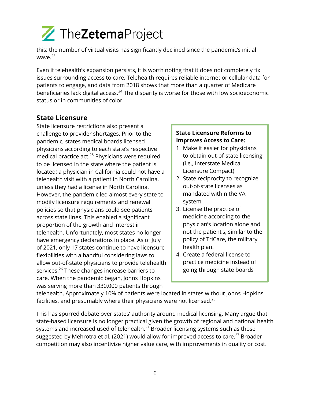

this: the number of virtual visits has significantly declined since the pandemic's initial wave. $^{23}$ 

Even if telehealth's expansion persists, it is worth noting that it does not completely fix issues surrounding access to care. Telehealth requires reliable internet or cellular data for patients to engage, and data from 2018 shows that more than a quarter of Medicare beneficiaries lack digital access.<sup>24</sup> The disparity is worse for those with low socioeconomic status or in communities of color.

#### **State Licensure**

State licensure restrictions also present a challenge to provider shortages. Prior to the pandemic, states medical boards licensed physicians according to each state's respective medical practice act.<sup>25</sup> Physicians were required to be licensed in the state where the patient is located; a physician in California could not have a telehealth visit with a patient in North Carolina, unless they had a license in North Carolina. However, the pandemic led almost every state to modify licensure requirements and renewal policies so that physicians could see patients across state lines. This enabled a significant proportion of the growth and interest in telehealth. Unfortunately, most states no longer have emergency declarations in place. As of July of 2021, only 17 states continue to have licensure flexibilities with a handful considering laws to allow out-of-state physicians to provide telehealth services.<sup>26</sup> These changes increase barriers to care. When the pandemic began, Johns Hopkins was serving more than 330,000 patients through

#### **State Licensure Reforms to Improves Access to Care:**

- 1. Make it easier for physicians to obtain out-of-state licensing (i.e., Interstate Medical Licensure Compact)
- 2. State reciprocity to recognize out-of-state licenses as mandated within the VA system
- 3. License the practice of medicine according to the physician's location alone and not the patient's, similar to the policy of TriCare, the military health plan.
- 4. Create a federal license to practice medicine instead of going through state boards

telehealth. Approximately 10% of patients were located in states without Johns Hopkins facilities, and presumably where their physicians were not licensed.<sup>25</sup>

This has spurred debate over states' authority around medical licensing. Many argue that state-based licensure is no longer practical given the growth of regional and national health systems and increased used of telehealth. $^{27}$  Broader licensing systems such as those suggested by Mehrotra et al. (2021) would allow for improved access to care.<sup>27</sup> Broader competition may also incentivize higher value care, with improvements in quality or cost.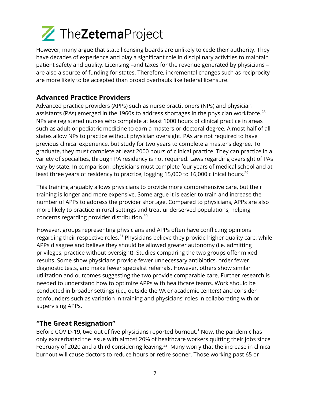

However, many argue that state licensing boards are unlikely to cede their authority. They have decades of experience and play a significant role in disciplinary activities to maintain patient safety and quality. Licensing –and taxes for the revenue generated by physicians – are also a source of funding for states. Therefore, incremental changes such as reciprocity are more likely to be accepted than broad overhauls like federal licensure.

#### **Advanced Practice Providers**

Advanced practice providers (APPs) such as nurse practitioners (NPs) and physician assistants (PAs) emerged in the 1960s to address shortages in the physician workforce.<sup>28</sup> NPs are registered nurses who complete at least 1000 hours of clinical practice in areas such as adult or pediatric medicine to earn a masters or doctoral degree. Almost half of all states allow NPs to practice without physician oversight. PAs are not required to have previous clinical experience, but study for two years to complete a master's degree. To graduate, they must complete at least 2000 hours of clinical practice. They can practice in a variety of specialties, through PA residency is not required. Laws regarding oversight of PAs vary by state. In comparison, physicians must complete four years of medical school and at least three years of residency to practice, logging 15,000 to 16,000 clinical hours.<sup>29</sup>

This training arguably allows physicians to provide more comprehensive care, but their training is longer and more expensive. Some argue it is easier to train and increase the number of APPs to address the provider shortage. Compared to physicians, APPs are also more likely to practice in rural settings and treat underserved populations, helping concerns regarding provider distribution.<sup>30</sup>

However, groups representing physicians and APPs often have conflicting opinions regarding their respective roles.<sup>31</sup> Physicians believe they provide higher quality care, while APPs disagree and believe they should be allowed greater autonomy (i.e. admitting privileges, practice without oversight). Studies comparing the two groups offer mixed results. Some show physicians provide fewer unnecessary antibiotics, order fewer diagnostic tests, and make fewer specialist referrals. However, others show similar utilization and outcomes suggesting the two provide comparable care. Further research is needed to understand how to optimize APPs with healthcare teams. Work should be conducted in broader settings (i.e., outside the VA or academic centers) and consider confounders such as variation in training and physicians' roles in collaborating with or supervising APPs.

#### **"The Great Resignation"**

Before COVID-19, two out of five physicians reported burnout.<sup>1</sup> Now, the pandemic has only exacerbated the issue with almost 20% of healthcare workers quitting their jobs since February of 2020 and a third considering leaving.<sup>32</sup> Many worry that the increase in clinical burnout will cause doctors to reduce hours or retire sooner. Those working past 65 or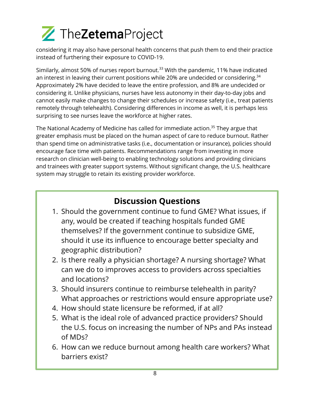# TheZetemaProject

considering it may also have personal health concerns that push them to end their practice instead of furthering their exposure to COVID-19.

Similarly, almost 50% of nurses report burnout.<sup>33</sup> With the pandemic, 11% have indicated an interest in leaving their current positions while 20% are undecided or considering. $34$ Approximately 2% have decided to leave the entire profession, and 8% are undecided or considering it. Unlike physicians, nurses have less autonomy in their day-to-day jobs and cannot easily make changes to change their schedules or increase safety (i.e., treat patients remotely through telehealth). Considering differences in income as well, it is perhaps less surprising to see nurses leave the workforce at higher rates.

The National Academy of Medicine has called for immediate action.<sup>35</sup> They argue that greater emphasis must be placed on the human aspect of care to reduce burnout. Rather than spend time on administrative tasks (i.e., documentation or insurance), policies should encourage face time with patients. Recommendations range from investing in more research on clinician well-being to enabling technology solutions and providing clinicians and trainees with greater support systems. Without significant change, the U.S. healthcare system may struggle to retain its existing provider workforce.

### **Discussion Questions**

- 1. Should the government continue to fund GME? What issues, if any, would be created if teaching hospitals funded GME themselves? If the government continue to subsidize GME, should it use its influence to encourage better specialty and geographic distribution?
- 2. Is there really a physician shortage? A nursing shortage? What can we do to improves access to providers across specialties and locations?
- 3. Should insurers continue to reimburse telehealth in parity? What approaches or restrictions would ensure appropriate use?
- 4. How should state licensure be reformed, if at all?
- 5. What is the ideal role of advanced practice providers? Should the U.S. focus on increasing the number of NPs and PAs instead of MDs?
- 6. How can we reduce burnout among health care workers? What barriers exist?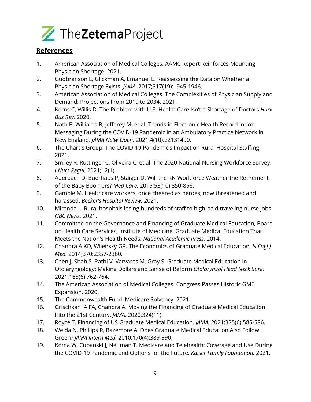

#### **References**

- 1. American Association of Medical Colleges. AAMC Report Reinforces Mounting Physician Shortage. 2021.
- 2. Gudbranson E, Glickman A, Emanuel E. Reassessing the Data on Whether a Physician Shortage Exists. *JAMA.* 2017;317(19):1945-1946.
- 3. American Association of Medical Colleges. The Complexities of Physician Supply and Demand: Projections From 2019 to 2034. 2021.
- 4. Kerns C, Willis D. The Problem with U.S. Health Care Isn't a Shortage of Doctors *Harv Bus Rev.* 2020.
- 5. Nath B, Williams B, Jefferey M, et al. Trends in Electronic Health Record Inbox Messaging During the COVID-19 Pandemic in an Ambulatory Practice Network in New England. *JAMA Netw Open.* 2021;4(10):e2131490.
- 6. The Chartis Group. The COVID-19 Pandemic's Impact on Rural Hospital Staffing. 2021.
- 7. Smiley R, Ruttinger C, Oliveira C, et al. The 2020 National Nursing Workforce Survey. *J Nurs Regul.* 2021;12(1).
- 8. Auerbach D, Buerhaus P, Staiger D. Will the RN Workforce Weather the Retirement of the Baby Boomers? *Med Care.* 2015;53(10):850-856.
- 9. Gamble M. Healthcare workers, once cheered as heroes, now threatened and harassed. *Becker's Hospital Review.* 2021.
- 10. Miranda L. Rural hospitals losing hundreds of staff to high-paid traveling nurse jobs. *NBC News.* 2021.
- 11. Committee on the Governance and Financing of Graduate Medical Education, Board on Health Care Services, Institute of Medicine. Graduate Medical Education That Meets the Nation's Health Needs. *National Academic Press.* 2014.
- 12. Chandra A KD, Wilensky GR. The Economics of Graduate Medical Education. *N Engl J Med.* 2014;370:2357-2360.
- 13. Chen J, Shah S, Rathi V, Varvares M, Gray S. Graduate Medical Education in Otolaryngology: Making Dollars and Sense of Reform *Otolaryngol Head Neck Surg.*  2021;165(6):762-764.
- 14. The American Association of Medical Colleges. Congress Passes Historic GME Expansion. 2020.
- 15. The Commonwealth Fund. Medicare Solvency. 2021.
- 16. Grischkan JA FA, Chandra A. Moving the Financing of Graduate Medical Education Into the 21st Century. *JAMA.* 2020;324(11).
- 17. Royce T. Financing of US Graduate Medical Education. *JAMA.* 2021;325(6):585-586.
- 18. Weida N, Phillips R, Bazemore A. Does Graduate Medical Education Also Follow Green? *JAMA Intern Med.* 2010;170(4):389-390.
- 19. Koma W, Cubanski J, Neuman T. Medicare and Telehealth: Coverage and Use During the COVID-19 Pandemic and Options for the Future. *Kaiser Family Foundation.* 2021.